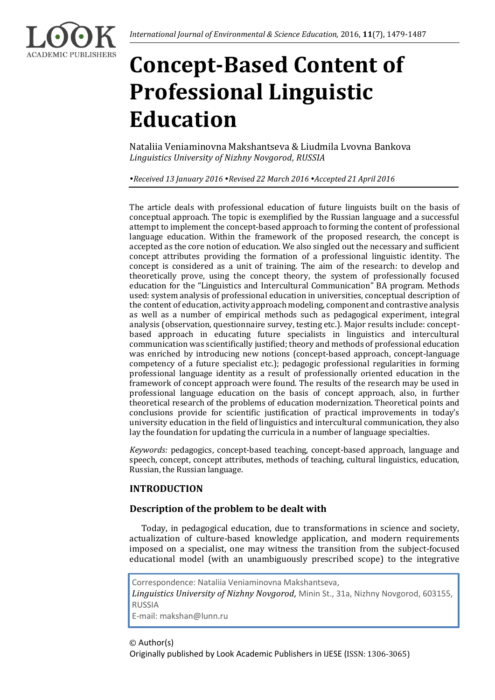

# **Concept-Based Content of Professional Linguistic Education**

Nataliia Veniaminovna Makshantseva & Liudmila Lvovna Bankova *Linguistics University of Nizhny Novgorod, RUSSIA* 

*Received 13 January 2016 Revised 22 March 2016 Accepted 21 April 2016*

The article deals with professional education of future linguists built on the basis of conceptual approach. The topic is exemplified by the Russian language and a successful attempt to implement the concept-based approach to forming the content of professional language education. Within the framework of the proposed research, the concept is accepted as the core notion of education. We also singled out the necessary and sufficient concept attributes providing the formation of a professional linguistic identity. The concept is considered as a unit of training. The aim of the research: to develop and theoretically prove, using the concept theory, the system of professionally focused education for the "Linguistics and Intercultural Communication" BA program. Methods used: system analysis of professional education in universities, conceptual description of the content of education, activity approach modeling, component and contrastive analysis as well as a number of empirical methods such as pedagogical experiment, integral analysis (observation, questionnaire survey, testing etc.). Major results include: conceptbased approach in educating future specialists in linguistics and intercultural communication was scientifically justified; theory and methods of professional education was enriched by introducing new notions (concept-based approach, concept-language competency of a future specialist etc.); pedagogic professional regularities in forming professional language identity as a result of professionally oriented education in the framework of concept approach were found. The results of the research may be used in professional language education on the basis of concept approach, also, in further theoretical research of the problems of education modernization. Theoretical points and conclusions provide for scientific justification of practical improvements in today's university education in the field of linguistics and intercultural communication, they also lay the foundation for updating the curricula in a number of language specialties.

*Keywords:* pedagogics, concept-based teaching, concept-based approach, language and speech, concept, concept attributes, methods of teaching, cultural linguistics, education, Russian, the Russian language.

# **INTRODUCTION**

# **Description of the problem to be dealt with**

Today, in pedagogical education, due to transformations in science and society, actualization of culture-based knowledge application, and modern requirements imposed on a specialist, one may witness the transition from the subject-focused educational model (with an unambiguously prescribed scope) to the integrative

Correspondence: Nataliia Veniaminovna Makshantseva, *Linguistics University of Nizhny Novgorod,* Minin St., 31a, Nizhny Novgorod, 603155, RUSSIA E-mail: makshan@lunn.ru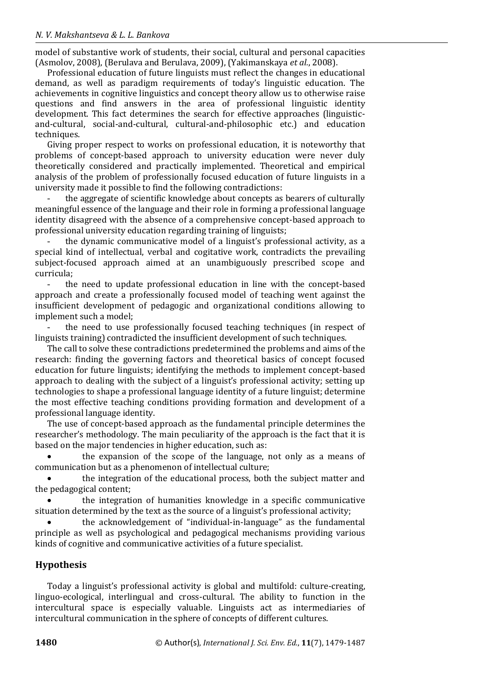model of substantive work of students, their social, cultural and personal capacities (Asmolov, 2008), (Berulava and Berulava, 2009), (Yakimanskaya *et al.*, 2008).

Professional education of future linguists must reflect the changes in educational demand, as well as paradigm requirements of today's linguistic education. The achievements in cognitive linguistics and concept theory allow us to otherwise raise questions and find answers in the area of professional linguistic identity development. This fact determines the search for effective approaches (linguisticand-cultural, social-and-cultural, cultural-and-philosophic etc.) and education techniques.

Giving proper respect to works on professional education, it is noteworthy that problems of concept-based approach to university education were never duly theoretically considered and practically implemented. Theoretical and empirical analysis of the problem of professionally focused education of future linguists in a university made it possible to find the following contradictions:

- the aggregate of scientific knowledge about concepts as bearers of culturally meaningful essence of the language and their role in forming a professional language identity disagreed with the absence of a comprehensive concept-based approach to professional university education regarding training of linguists;

the dynamic communicative model of a linguist's professional activity, as a special kind of intellectual, verbal and cogitative work, contradicts the prevailing subject-focused approach aimed at an unambiguously prescribed scope and curricula;

- the need to update professional education in line with the concept-based approach and create a professionally focused model of teaching went against the insufficient development of pedagogic and organizational conditions allowing to implement such a model;

the need to use professionally focused teaching techniques (in respect of linguists training) contradicted the insufficient development of such techniques.

The call to solve these contradictions predetermined the problems and aims of the research: finding the governing factors and theoretical basics of concept focused education for future linguists; identifying the methods to implement concept-based approach to dealing with the subject of a linguist's professional activity; setting up technologies to shape a professional language identity of a future linguist; determine the most effective teaching conditions providing formation and development of a professional language identity.

The use of concept-based approach as the fundamental principle determines the researcher's methodology. The main peculiarity of the approach is the fact that it is based on the major tendencies in higher education, such as:

 the expansion of the scope of the language, not only as a means of communication but as a phenomenon of intellectual culture;

 the integration of the educational process, both the subject matter and the pedagogical content;

 the integration of humanities knowledge in a specific communicative situation determined by the text as the source of a linguist's professional activity;

 the acknowledgement of "individual-in-language" as the fundamental principle as well as psychological and pedagogical mechanisms providing various kinds of cognitive and communicative activities of a future specialist.

## **Hypothesis**

Today a linguist's professional activity is global and multifold: culture-creating, linguo-ecological, interlingual and cross-cultural. The ability to function in the intercultural space is especially valuable. Linguists act as intermediaries of intercultural communication in the sphere of concepts of different cultures.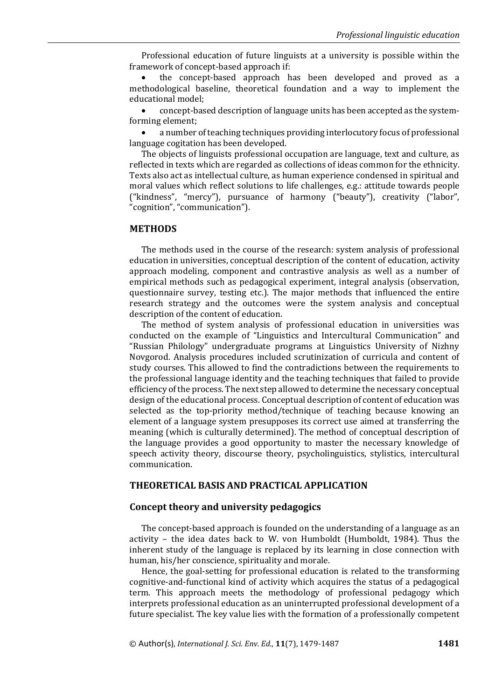Professional education of future linguists at a university is possible within the framework of concept-based approach if:

 the concept-based approach has been developed and proved as a methodological baseline, theoretical foundation and a way to implement the educational model;

 concept-based description of language units has been accepted as the systemforming element;

 a number of teaching techniques providing interlocutory focus of professional language cogitation has been developed.

The objects of linguists professional occupation are language, text and culture, as reflected in texts which are regarded as collections of ideas common for the ethnicity. Texts also act as intellectual culture, as human experience condensed in spiritual and moral values which reflect solutions to life challenges, e.g.: attitude towards people ("kindness", "mercy"), pursuance of harmony ("beauty"), creativity ("labor", "cognition", "communication").

#### **METHODS**

The methods used in the course of the research: system analysis of professional education in universities, conceptual description of the content of education, activity approach modeling, component and contrastive analysis as well as a number of empirical methods such as pedagogical experiment, integral analysis (observation, questionnaire survey, testing etc.). The major methods that influenced the entire research strategy and the outcomes were the system analysis and conceptual description of the content of education.

The method of system analysis of professional education in universities was conducted on the example of "Linguistics and Intercultural Communication" and "Russian Philology" undergraduate programs at Linguistics University of Nizhny Novgorod. Analysis procedures included scrutinization of curricula and content of study courses. This allowed to find the contradictions between the requirements to the professional language identity and the teaching techniques that failed to provide efficiency of the process. The next step allowed to determine the necessary conceptual design of the educational process. Conceptual description of content of education was selected as the top-priority method/technique of teaching because knowing an element of a language system presupposes its correct use aimed at transferring the meaning (which is culturally determined). The method of conceptual description of the language provides a good opportunity to master the necessary knowledge of speech activity theory, discourse theory, psycholinguistics, stylistics, intercultural communication.

#### **THEORETICAL BASIS AND PRACTICAL APPLICATION**

#### **Concept theory and university pedagogics**

The concept-based approach is founded on the understanding of a language as an activity – the idea dates back to W. von Humboldt (Humboldt, 1984). Thus the inherent study of the language is replaced by its learning in close connection with human, his/her conscience, spirituality and morale.

Hence, the goal-setting for professional education is related to the transforming cognitive-and-functional kind of activity which acquires the status of a pedagogical term. This approach meets the methodology of professional pedagogy which interprets professional education as an uninterrupted professional development of a future specialist. The key value lies with the formation of a professionally competent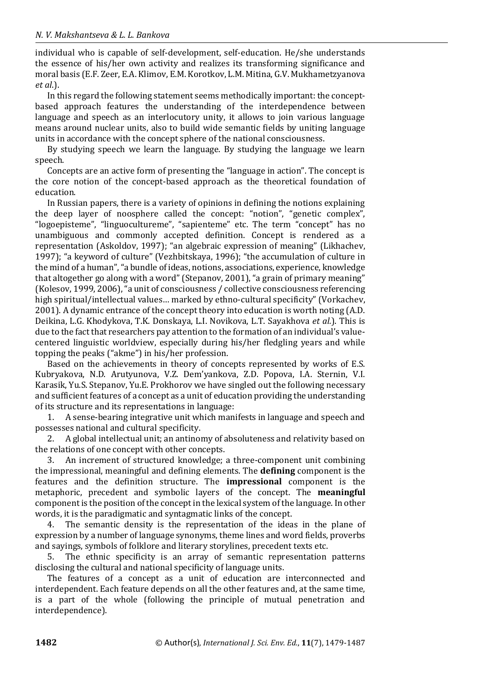individual who is capable of self-development, self-education. He/she understands the essence of his/her own activity and realizes its transforming significance and moral basis (E.F. Zeer, E.A. Klimov, E.M. Korotkov, L.M. Mitina, G.V. Mukhametzyanova *et al*.).

In this regard the following statement seems methodically important: the conceptbased approach features the understanding of the interdependence between language and speech as an interlocutory unity, it allows to join various language means around nuclear units, also to build wide semantic fields by uniting language units in accordance with the concept sphere of the national consciousness.

By studying speech we learn the language. By studying the language we learn speech.

Concepts are an active form of presenting the "language in action". The concept is the core notion of the concept-based approach as the theoretical foundation of education.

In Russian papers, there is a variety of opinions in defining the notions explaining the deep layer of noosphere called the concept: "notion", "genetic complex", "logoepisteme", "linguocultureme", "sapienteme" etc. The term "concept" has no unambiguous and commonly accepted definition. Concept is rendered as a representation (Askoldov, 1997); "an algebraic expression of meaning" (Likhachev, 1997); "a keyword of culture" (Vezhbitskaya, 1996); "the accumulation of culture in the mind of a human", "a bundle of ideas, notions, associations, experience, knowledge that altogether go along with a word" (Stepanov, 2001), "a grain of primary meaning" (Kolesov, 1999, 2006), "a unit of consciousness / collective consciousness referencing high spiritual/intellectual values… marked by ethno-cultural specificity" (Vorkachev, 2001). A dynamic entrance of the concept theory into education is worth noting (A.D. Deikina, L.G. Khodykova, T.K. Donskaya, L.I. Novikova, L.T. Sayakhova *et al.*). This is due to the fact that researchers pay attention to the formation of an individual's valuecentered linguistic worldview, especially during his/her fledgling years and while topping the peaks ("akme") in his/her profession.

Based on the achievements in theory of concepts represented by works of E.S. Kubryakova, N.D. Arutyunova, V.Z. Dem'yankova, Z.D. Popova, I.A. Sternin, V.I. Karasik, Yu.S. Stepanov, Yu.E. Prokhorov we have singled out the following necessary and sufficient features of a concept as a unit of education providing the understanding of its structure and its representations in language:

1. A sense-bearing integrative unit which manifests in language and speech and possesses national and cultural specificity.

2. A global intellectual unit; an antinomy of absoluteness and relativity based on the relations of one concept with other concepts.

3. An increment of structured knowledge; a three-component unit combining the impressional, meaningful and defining elements. The **defining** component is the features and the definition structure. The **impressional** component is the metaphoric, precedent and symbolic layers of the concept. The **meaningful** component is the position of the concept in the lexical system of the language. In other words, it is the paradigmatic and syntagmatic links of the concept.

4. The semantic density is the representation of the ideas in the plane of expression by a number of language synonyms, theme lines and word fields, proverbs and sayings, symbols of folklore and literary storylines, precedent texts etc.

5. The ethnic specificity is an array of semantic representation patterns disclosing the cultural and national specificity of language units.

The features of a concept as a unit of education are interconnected and interdependent. Each feature depends on all the other features and, at the same time, is a part of the whole (following the principle of mutual penetration and interdependence).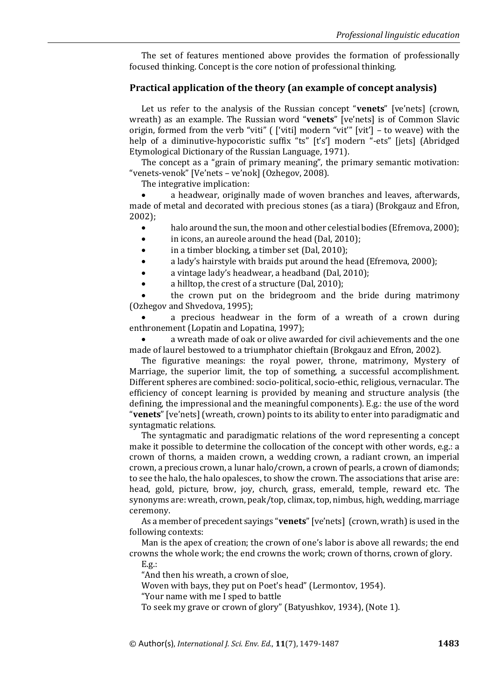The set of features mentioned above provides the formation of professionally focused thinking. Concept is the core notion of professional thinking.

#### **Practical application of the theory (an example of concept analysis)**

Let us refer to the analysis of the Russian concept "**venets**" [ve'nets] (crown, wreath) as an example. The Russian word "**venets**" [ve'nets] is of Common Slavic origin, formed from the verb "viti" ( ['viti] modern "vit'" [vit'] - to weave) with the help of a diminutive-hypocoristic suffix "ts" [t's'] modern "-ets" [jets] (Abridged Etymological Dictionary of the Russian Language, 1971).

The concept as a "grain of primary meaning", the primary semantic motivation: "venets-venok" [Ve'nets – ve'nok] (Ozhegov, 2008).

The integrative implication:

 a headwear, originally made of woven branches and leaves, afterwards, made of metal and decorated with precious stones (as a tiara) (Brokgauz and Efron, 2002);

- halo around the sun, the moon and other celestial bodies (Efremova, 2000);
- in icons, an aureole around the head (Dal, 2010);
- in a timber blocking, a timber set (Dal, 2010);
- a lady's hairstyle with braids put around the head (Efremova, 2000);
- a vintage lady's headwear, a headband (Dal, 2010);
- a hilltop, the crest of a structure (Dal, 2010);

 the crown put on the bridegroom and the bride during matrimony (Ozhegov and Shvedova, 1995);

 a precious headwear in the form of a wreath of a crown during enthronement (Lopatin and Lopatina, 1997);

 a wreath made of oak or olive awarded for civil achievements and the one made of laurel bestowed to a triumphator chieftain (Brokgauz and Efron, 2002).

The figurative meanings: the royal power, throne, matrimony, Mystery of Marriage, the superior limit, the top of something, a successful accomplishment. Different spheres are combined: socio-political, socio-ethic, religious, vernacular. The efficiency of concept learning is provided by meaning and structure analysis (the defining, the impressional and the meaningful components). E.g.: the use of the word "**venets**" [ve'nets] (wreath, crown) points to its ability to enter into paradigmatic and syntagmatic relations.

The syntagmatic and paradigmatic relations of the word representing a concept make it possible to determine the collocation of the concept with other words, e.g.: a crown of thorns, a maiden crown, a wedding crown, a radiant crown, an imperial crown, a precious crown, a lunar halo/crown, a crown of pearls, a crown of diamonds; to see the halo, the halo opalesces, to show the crown. The associations that arise are: head, gold, picture, brow, joy, church, grass, emerald, temple, reward etc. The synonyms are: wreath, crown, peak/top, climax, top, nimbus, high, wedding, marriage ceremony.

As a member of precedent sayings "**venets**" [ve'nets] (crown, wrath) is used in the following contexts:

Man is the apex of creation; the crown of one's labor is above all rewards; the end crowns the whole work; the end crowns the work; crown of thorns, crown of glory.

E.g.:

"And then his wreath, a crown of sloe,

Woven with bays, they put on Poet's head" (Lermontov, 1954).

"Your name with me I sped to battle

To seek my grave or crown of glory" (Batyushkov, 1934), (Note 1).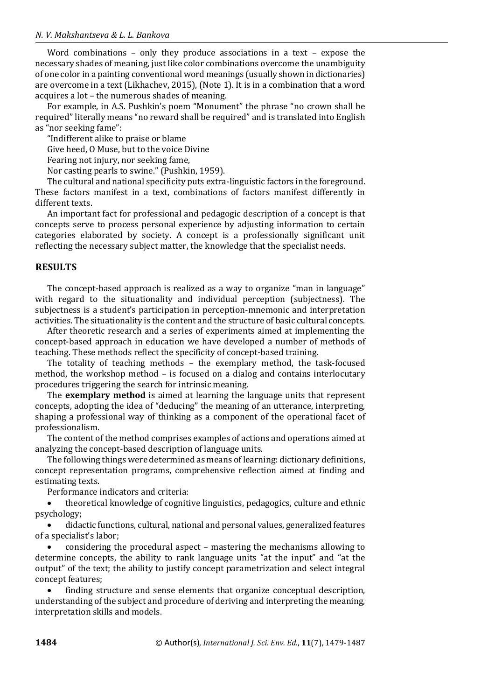Word combinations – only they produce associations in a text – expose the necessary shades of meaning, just like color combinations overcome the unambiguity of one color in a painting conventional word meanings (usually shown in dictionaries) are overcome in a text (Likhachev, 2015), (Note 1). It is in a combination that a word acquires a lot – the numerous shades of meaning.

For example, in A.S. Pushkin's poem "Monument" the phrase "no crown shall be required" literally means "no reward shall be required" and is translated into English as "nor seeking fame":

"Indifferent alike to praise or blame

Give heed, O Muse, but to the voice Divine

Fearing not injury, nor seeking fame,

Nor casting pearls to swine." (Pushkin, 1959).

The cultural and national specificity puts extra-linguistic factors in the foreground. These factors manifest in a text, combinations of factors manifest differently in different texts.

An important fact for professional and pedagogic description of a concept is that concepts serve to process personal experience by adjusting information to certain categories elaborated by society. A concept is a professionally significant unit reflecting the necessary subject matter, the knowledge that the specialist needs.

#### **RESULTS**

The concept-based approach is realized as a way to organize "man in language" with regard to the situationality and individual perception (subjectness). The subjectness is a student's participation in perception-mnemonic and interpretation activities. The situationality is the content and the structure of basic cultural concepts.

After theoretic research and a series of experiments aimed at implementing the concept-based approach in education we have developed a number of methods of teaching. These methods reflect the specificity of concept-based training.

The totality of teaching methods – the exemplary method, the task-focused method, the workshop method – is focused on a dialog and contains interlocutary procedures triggering the search for intrinsic meaning.

The **exemplary method** is aimed at learning the language units that represent concepts, adopting the idea of "deducing" the meaning of an utterance, interpreting, shaping a professional way of thinking as a component of the operational facet of professionalism.

The content of the method comprises examples of actions and operations aimed at analyzing the concept-based description of language units.

The following things were determined as means of learning: dictionary definitions, concept representation programs, comprehensive reflection aimed at finding and estimating texts.

Performance indicators and criteria:

 theoretical knowledge of cognitive linguistics, pedagogics, culture and ethnic psychology;

 didactic functions, cultural, national and personal values, generalized features of a specialist's labor;

 considering the procedural aspect – mastering the mechanisms allowing to determine concepts, the ability to rank language units "at the input" and "at the output" of the text; the ability to justify concept parametrization and select integral concept features;

 finding structure and sense elements that organize conceptual description, understanding of the subject and procedure of deriving and interpreting the meaning, interpretation skills and models.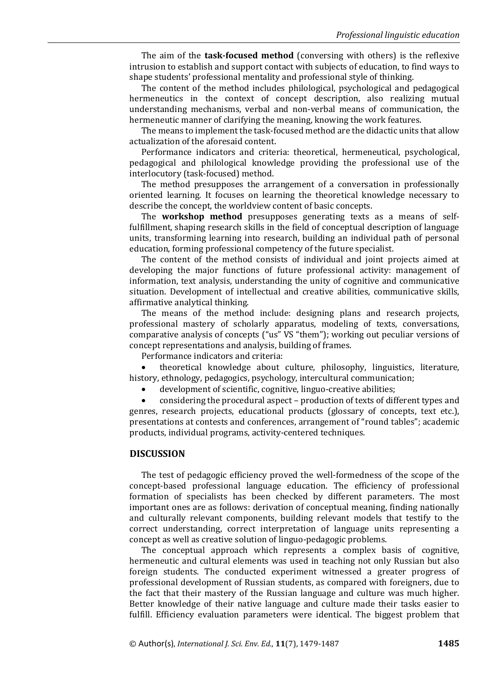The aim of the **task-focused method** (conversing with others) is the reflexive intrusion to establish and support contact with subjects of education, to find ways to shape students' professional mentality and professional style of thinking.

The content of the method includes philological, psychological and pedagogical hermeneutics in the context of concept description, also realizing mutual understanding mechanisms, verbal and non-verbal means of communication, the hermeneutic manner of clarifying the meaning, knowing the work features.

The means to implement the task-focused method are the didactic units that allow actualization of the aforesaid content.

Performance indicators and criteria: theoretical, hermeneutical, psychological, pedagogical and philological knowledge providing the professional use of the interlocutory (task-focused) method.

The method presupposes the arrangement of a conversation in professionally oriented learning. It focuses on learning the theoretical knowledge necessary to describe the concept, the worldview content of basic concepts.

The **workshop method** presupposes generating texts as a means of selffulfillment, shaping research skills in the field of conceptual description of language units, transforming learning into research, building an individual path of personal education, forming professional competency of the future specialist.

The content of the method consists of individual and joint projects aimed at developing the major functions of future professional activity: management of information, text analysis, understanding the unity of cognitive and communicative situation. Development of intellectual and creative abilities, communicative skills, affirmative analytical thinking.

The means of the method include: designing plans and research projects, professional mastery of scholarly apparatus, modeling of texts, conversations, comparative analysis of concepts ("us" VS "them"); working out peculiar versions of concept representations and analysis, building of frames.

Performance indicators and criteria:

 theoretical knowledge about culture, philosophy, linguistics, literature, history, ethnology, pedagogics, psychology, intercultural communication;

development of scientific, cognitive, linguo-creative abilities;

 considering the procedural aspect – production of texts of different types and genres, research projects, educational products (glossary of concepts, text etc.), presentations at contests and conferences, arrangement of "round tables"; academic products, individual programs, activity-centered techniques.

#### **DISCUSSION**

The test of pedagogic efficiency proved the well-formedness of the scope of the concept-based professional language education. The efficiency of professional formation of specialists has been checked by different parameters. The most important ones are as follows: derivation of conceptual meaning, finding nationally and culturally relevant components, building relevant models that testify to the correct understanding, correct interpretation of language units representing a concept as well as creative solution of linguo-pedagogic problems.

The conceptual approach which represents a complex basis of cognitive, hermeneutic and cultural elements was used in teaching not only Russian but also foreign students. The conducted experiment witnessed a greater progress of professional development of Russian students, as compared with foreigners, due to the fact that their mastery of the Russian language and culture was much higher. Better knowledge of their native language and culture made their tasks easier to fulfill. Efficiency evaluation parameters were identical. The biggest problem that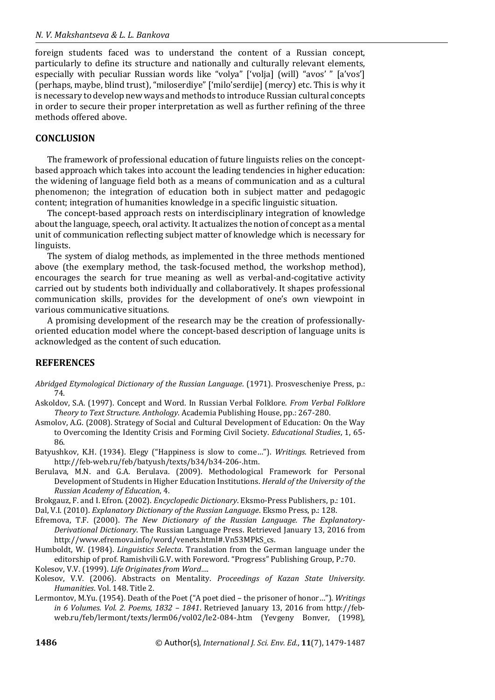foreign students faced was to understand the content of a Russian concept, particularly to define its structure and nationally and culturally relevant elements, especially with peculiar Russian words like "volya" ['volja] (will) "avos' " [a'vos'] (perhaps, maybe, blind trust), "miloserdiye" ['milo'serdije] (mercy) etc. This is why it is necessary to develop new ways and methods to introduce Russian cultural concepts in order to secure their proper interpretation as well as further refining of the three methods offered above.

#### **CONCLUSION**

The framework of professional education of future linguists relies on the conceptbased approach which takes into account the leading tendencies in higher education: the widening of language field both as a means of communication and as a cultural phenomenon; the integration of education both in subject matter and pedagogic content; integration of humanities knowledge in a specific linguistic situation.

The concept-based approach rests on interdisciplinary integration of knowledge about the language, speech, oral activity. It actualizes the notion of concept as a mental unit of communication reflecting subject matter of knowledge which is necessary for linguists.

The system of dialog methods, as implemented in the three methods mentioned above (the exemplary method, the task-focused method, the workshop method), encourages the search for true meaning as well as verbal-and-cogitative activity carried out by students both individually and collaboratively. It shapes professional communication skills, provides for the development of one's own viewpoint in various communicative situations.

A promising development of the research may be the creation of professionallyoriented education model where the concept-based description of language units is acknowledged as the content of such education.

## **REFERENCES**

- *Abridged Etymological Dictionary of the Russian Language*. (1971). Prosvescheniye Press, p.: 74.
- Askoldov, S.A. (1997). Concept and Word. In Russian Verbal Folklore. *From Verbal Folklore Theory to Text Structure. Anthology*. Academia Publishing House, pp.: 267-280.
- Asmolov, A.G. (2008). Strategy of Social and Cultural Development of Education: On the Way to Overcoming the Identity Crisis and Forming Civil Society. *Educational Studies*, 1, 65- 86.
- Batyushkov, K.H. (1934). Elegy ("Happiness is slow to come…"). *Writings*. Retrieved from http://feb-web.ru/feb/batyush/texts/b34/b34-206-.htm.
- Berulava, M.N. and G.A. Berulava. (2009). Methodological Framework for Personal Development of Students in Higher Education Institutions. *Herald of the University of the Russian Academy of Education*, 4.

Brokgauz, F. and I. Efron. (2002). *Encyclopedic Dictionary*. Eksmo-Press Publishers, p.: 101.

Dal, V.I. (2010). *Explanatory Dictionary of the Russian Language*. Eksmo Press, p.: 128.

- Efremova, T.F. (2000). *The New Dictionary of the Russian Language. The Explanatory-Derivational Dictionary*. The Russian Language Press. Retrieved January 13, 2016 from http://www.efremova.info/word/venets.html#.Vn53MPkS\_cs.
- Humboldt, W. (1984). *Linguistics Selecta*. Translation from the German language under the editorship of prof. Ramishvili G.V. with Foreword. "Progress" Publishing Group, P.:70. Kolesov, V.V. (1999). *Life Originates from Word…*.

Kolesov, V.V. (2006). Abstracts on Mentality. *Proceedings of Kazan State University. Humanities*. Vol. 148. Title 2.

Lermontov, M.Yu. (1954). Death of the Poet ("A poet died – the prisoner of honor…"). *Writings in 6 Volumes. Vol. 2. Poems, 1832 – 1841*. Retrieved January 13, 2016 from http://febweb.ru/feb/lermont/texts/lerm06/vol02/le2-084-.htm (Yevgeny Bonver, (1998),